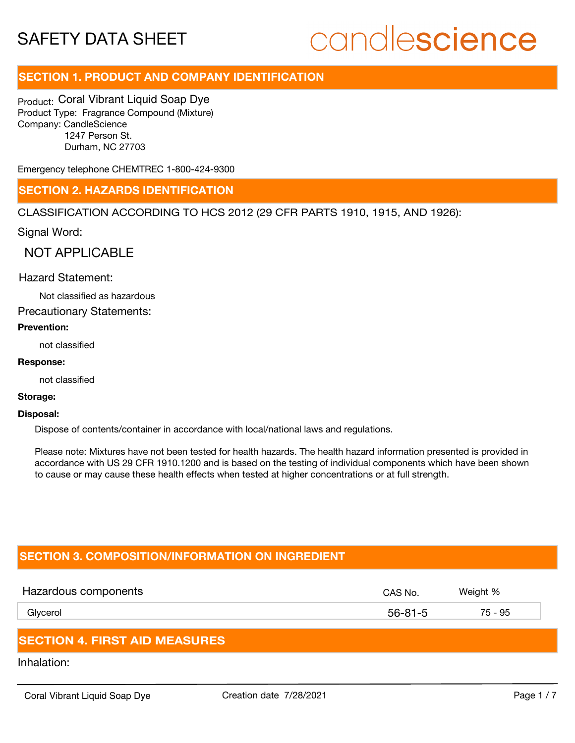## candlescience

### **SECTION 1. PRODUCT AND COMPANY IDENTIFICATION**

Product: Coral Vibrant Liquid Soap Dye Product Type: Fragrance Compound (Mixture) Company: CandleScience 1247 Person St. Durham, NC 27703

Emergency telephone CHEMTREC 1-800-424-9300

### **SECTION 2. HAZARDS IDENTIFICATION**

CLASSIFICATION ACCORDING TO HCS 2012 (29 CFR PARTS 1910, 1915, AND 1926):

Signal Word:

NOT APPLICABLE

### Hazard Statement:

Not classified as hazardous

Precautionary Statements:

### **Prevention:**

not classified

### **Response:**

not classified

### **Storage:**

#### **Disposal:**

Dispose of contents/container in accordance with local/national laws and regulations.

Please note: Mixtures have not been tested for health hazards. The health hazard information presented is provided in accordance with US 29 CFR 1910.1200 and is based on the testing of individual components which have been shown to cause or may cause these health effects when tested at higher concentrations or at full strength.

### **SECTION 3. COMPOSITION/INFORMATION ON INGREDIENT**

| Hazardous components | CAS No. | Weight % |
|----------------------|---------|----------|
| Glycerol             | 56-81-5 | 75 - 95  |
|                      |         |          |

### **SECTION 4. FIRST AID MEASURES**

Inhalation: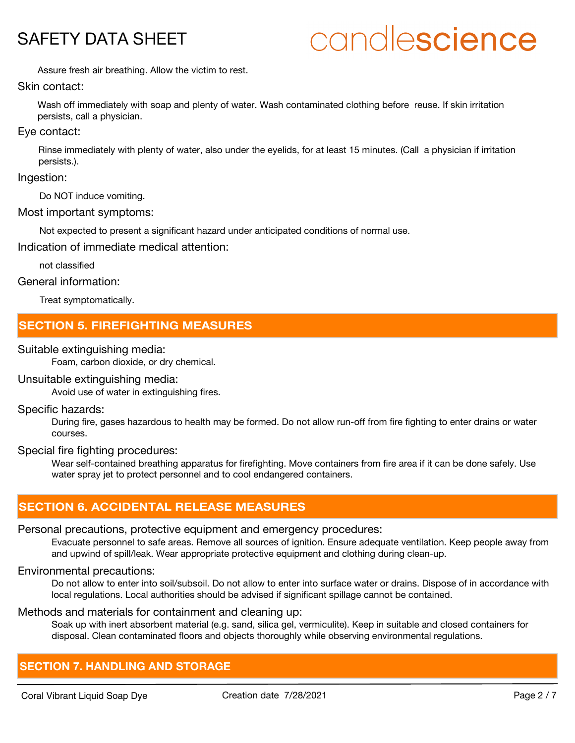## candlescience

Assure fresh air breathing. Allow the victim to rest.

### Skin contact:

Wash off immediately with soap and plenty of water. Wash contaminated clothing before reuse. If skin irritation persists, call a physician.

### Eye contact:

Rinse immediately with plenty of water, also under the eyelids, for at least 15 minutes. (Call a physician if irritation persists.).

### Ingestion:

Do NOT induce vomiting.

### Most important symptoms:

Not expected to present a significant hazard under anticipated conditions of normal use.

Indication of immediate medical attention:

not classified

### General information:

Treat symptomatically.

### **SECTION 5. FIREFIGHTING MEASURES**

### Suitable extinguishing media:

Foam, carbon dioxide, or dry chemical.

### Unsuitable extinguishing media:

Avoid use of water in extinguishing fires.

### Specific hazards:

During fire, gases hazardous to health may be formed. Do not allow run-off from fire fighting to enter drains or water courses.

### Special fire fighting procedures:

Wear self-contained breathing apparatus for firefighting. Move containers from fire area if it can be done safely. Use water spray jet to protect personnel and to cool endangered containers.

### **SECTION 6. ACCIDENTAL RELEASE MEASURES**

### Personal precautions, protective equipment and emergency procedures:

Evacuate personnel to safe areas. Remove all sources of ignition. Ensure adequate ventilation. Keep people away from and upwind of spill/leak. Wear appropriate protective equipment and clothing during clean-up.

### Environmental precautions:

Do not allow to enter into soil/subsoil. Do not allow to enter into surface water or drains. Dispose of in accordance with local regulations. Local authorities should be advised if significant spillage cannot be contained.

### Methods and materials for containment and cleaning up:

Soak up with inert absorbent material (e.g. sand, silica gel, vermiculite). Keep in suitable and closed containers for disposal. Clean contaminated floors and objects thoroughly while observing environmental regulations.

### **SECTION 7. HANDLING AND STORAGE**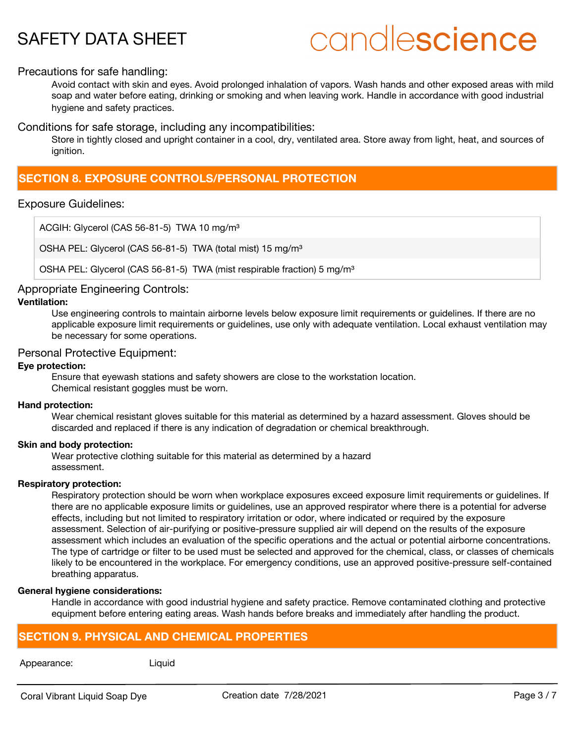## candlescience

### Precautions for safe handling:

Avoid contact with skin and eyes. Avoid prolonged inhalation of vapors. Wash hands and other exposed areas with mild soap and water before eating, drinking or smoking and when leaving work. Handle in accordance with good industrial hygiene and safety practices.

Conditions for safe storage, including any incompatibilities:

Store in tightly closed and upright container in a cool, dry, ventilated area. Store away from light, heat, and sources of ignition.

### **SECTION 8. EXPOSURE CONTROLS/PERSONAL PROTECTION**

### Exposure Guidelines:

ACGIH: Glycerol (CAS 56-81-5) TWA 10 mg/m<sup>3</sup>

OSHA PEL: Glycerol (CAS 56-81-5) TWA (total mist) 15 mg/m<sup>3</sup>

OSHA PEL: Glycerol (CAS 56-81-5) TWA (mist respirable fraction) 5 mg/m<sup>3</sup>

### Appropriate Engineering Controls:

### **Ventilation:**

Use engineering controls to maintain airborne levels below exposure limit requirements or guidelines. If there are no applicable exposure limit requirements or guidelines, use only with adequate ventilation. Local exhaust ventilation may be necessary for some operations.

### Personal Protective Equipment:

### **Eye protection:**

Ensure that eyewash stations and safety showers are close to the workstation location. Chemical resistant goggles must be worn.

### **Hand protection:**

Wear chemical resistant gloves suitable for this material as determined by a hazard assessment. Gloves should be discarded and replaced if there is any indication of degradation or chemical breakthrough.

### **Skin and body protection:**

Wear protective clothing suitable for this material as determined by a hazard assessment.

### **Respiratory protection:**

Respiratory protection should be worn when workplace exposures exceed exposure limit requirements or guidelines. If there are no applicable exposure limits or guidelines, use an approved respirator where there is a potential for adverse effects, including but not limited to respiratory irritation or odor, where indicated or required by the exposure assessment. Selection of air-purifying or positive-pressure supplied air will depend on the results of the exposure assessment which includes an evaluation of the specific operations and the actual or potential airborne concentrations. The type of cartridge or filter to be used must be selected and approved for the chemical, class, or classes of chemicals likely to be encountered in the workplace. For emergency conditions, use an approved positive-pressure self-contained breathing apparatus.

### **General hygiene considerations:**

Handle in accordance with good industrial hygiene and safety practice. Remove contaminated clothing and protective equipment before entering eating areas. Wash hands before breaks and immediately after handling the product.

### **SECTION 9. PHYSICAL AND CHEMICAL PROPERTIES**

### Appearance: Liquid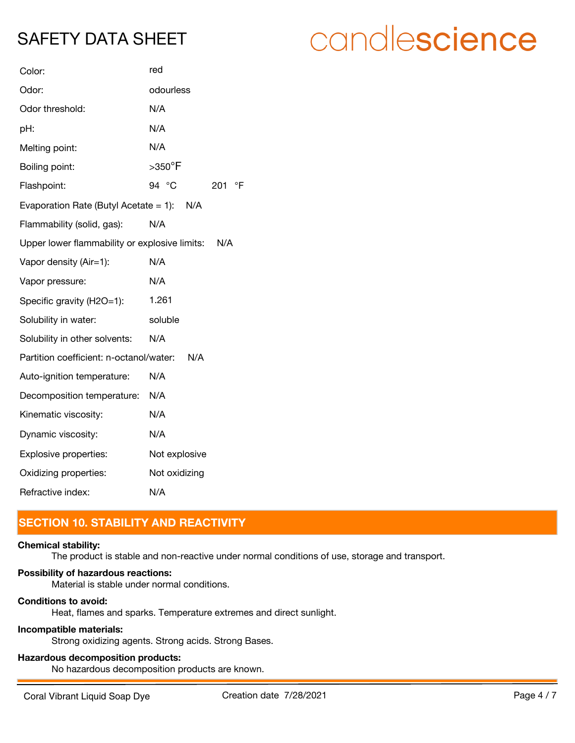| Color:                                        | red                       |  |
|-----------------------------------------------|---------------------------|--|
| Odor:                                         | odourless                 |  |
| Odor threshold:                               | N/A                       |  |
| pH:                                           | N/A                       |  |
| Melting point:                                | N/A                       |  |
| Boiling point:                                | $>350^\circ F$            |  |
| Flashpoint:                                   | 94 °C<br>$\circ$ F<br>201 |  |
| Evaporation Rate (Butyl Acetate = 1): $N/A$   |                           |  |
| Flammability (solid, gas):                    | N/A                       |  |
| Upper lower flammability or explosive limits: | N/A                       |  |
| Vapor density (Air=1):                        | N/A                       |  |
| Vapor pressure:                               | N/A                       |  |
| Specific gravity (H2O=1):                     | 1.261                     |  |
| Solubility in water:                          | soluble                   |  |
| Solubility in other solvents:                 | N/A                       |  |
| Partition coefficient: n-octanol/water:       | N/A                       |  |
| Auto-ignition temperature:                    | N/A                       |  |
| Decomposition temperature:                    | N/A                       |  |
| Kinematic viscosity:                          | N/A                       |  |
| Dynamic viscosity:                            | N/A                       |  |
| Explosive properties:                         | Not explosive             |  |
| Oxidizing properties:                         | Not oxidizing             |  |
| Refractive index:                             | N/A                       |  |

### **SECTION 10. STABILITY AND REACTIVITY**

### **Chemical stability:**

The product is stable and non-reactive under normal conditions of use, storage and transport.

### **Possibility of hazardous reactions:**

Material is stable under normal conditions.

### **Conditions to avoid:**

Heat, flames and sparks. Temperature extremes and direct sunlight.

### **Incompatible materials:**

Strong oxidizing agents. Strong acids. Strong Bases.

### **Hazardous decomposition products:**

No hazardous decomposition products are known.

## candlescience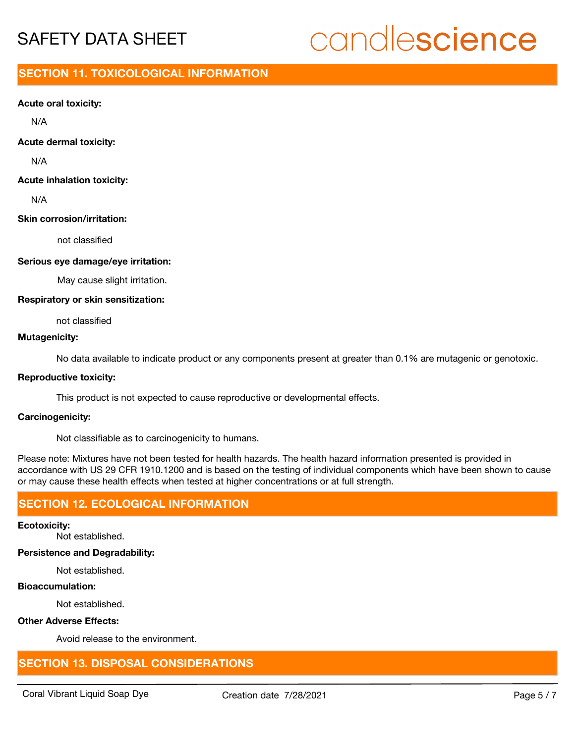# candlescience

### **SECTION 11. TOXICOLOGICAL INFORMATION**

### **Acute oral toxicity:**

N/A

### **Acute dermal toxicity:**

N/A

### **Acute inhalation toxicity:**

N/A

### **Skin corrosion/irritation:**

not classified

### **Serious eye damage/eye irritation:**

May cause slight irritation.

### **Respiratory or skin sensitization:**

not classified

### **Mutagenicity:**

No data available to indicate product or any components present at greater than 0.1% are mutagenic or genotoxic.

### **Reproductive toxicity:**

This product is not expected to cause reproductive or developmental effects.

### **Carcinogenicity:**

Not classifiable as to carcinogenicity to humans.

Please note: Mixtures have not been tested for health hazards. The health hazard information presented is provided in accordance with US 29 CFR 1910.1200 and is based on the testing of individual components which have been shown to cause or may cause these health effects when tested at higher concentrations or at full strength.

### **SECTION 12. ECOLOGICAL INFORMATION**

### **Ecotoxicity:**

Not established.

### **Persistence and Degradability:**

Not established.

### **Bioaccumulation:**

Not established.

### **Other Adverse Effects:**

Avoid release to the environment.

### **SECTION 13. DISPOSAL CONSIDERATIONS**